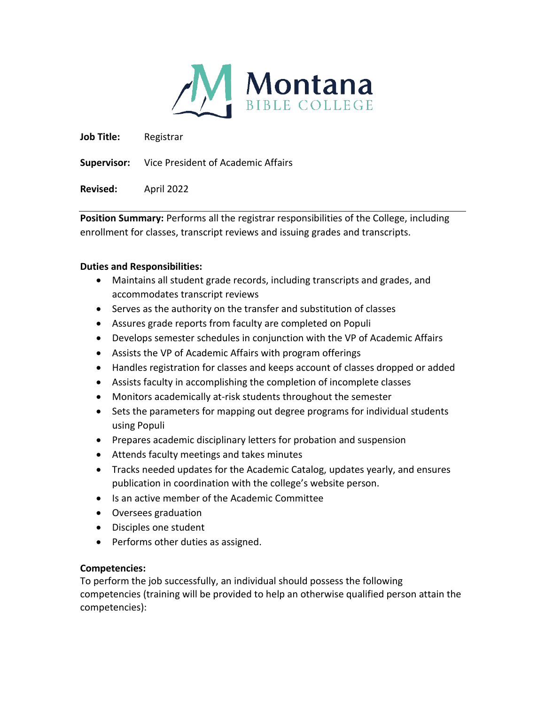

**Job Title:** Registrar

**Supervisor:** Vice President of Academic Affairs

**Revised:** April 2022

**Position Summary:** Performs all the registrar responsibilities of the College, including enrollment for classes, transcript reviews and issuing grades and transcripts.

## **Duties and Responsibilities:**

- Maintains all student grade records, including transcripts and grades, and accommodates transcript reviews
- Serves as the authority on the transfer and substitution of classes
- Assures grade reports from faculty are completed on Populi
- Develops semester schedules in conjunction with the VP of Academic Affairs
- Assists the VP of Academic Affairs with program offerings
- Handles registration for classes and keeps account of classes dropped or added
- Assists faculty in accomplishing the completion of incomplete classes
- Monitors academically at-risk students throughout the semester
- Sets the parameters for mapping out degree programs for individual students using Populi
- Prepares academic disciplinary letters for probation and suspension
- Attends faculty meetings and takes minutes
- Tracks needed updates for the Academic Catalog, updates yearly, and ensures publication in coordination with the college's website person.
- Is an active member of the Academic Committee
- Oversees graduation
- Disciples one student
- Performs other duties as assigned.

## **Competencies:**

To perform the job successfully, an individual should possess the following competencies (training will be provided to help an otherwise qualified person attain the competencies):